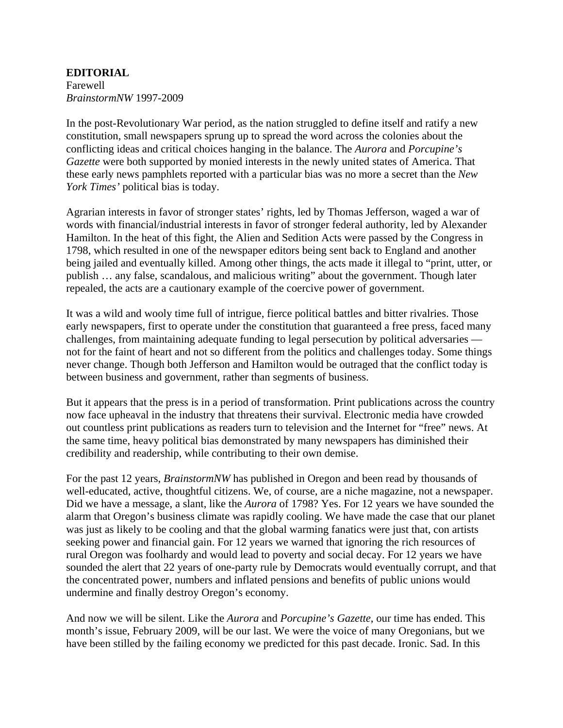**EDITORIAL**  Farewell *BrainstormNW* 1997-2009

In the post-Revolutionary War period, as the nation struggled to define itself and ratify a new constitution, small newspapers sprung up to spread the word across the colonies about the conflicting ideas and critical choices hanging in the balance. The *Aurora* and *Porcupine's Gazette* were both supported by monied interests in the newly united states of America. That these early news pamphlets reported with a particular bias was no more a secret than the *New York Times'* political bias is today.

Agrarian interests in favor of stronger states' rights, led by Thomas Jefferson, waged a war of words with financial/industrial interests in favor of stronger federal authority, led by Alexander Hamilton. In the heat of this fight, the Alien and Sedition Acts were passed by the Congress in 1798, which resulted in one of the newspaper editors being sent back to England and another being jailed and eventually killed. Among other things, the acts made it illegal to "print, utter, or publish … any false, scandalous, and malicious writing" about the government. Though later repealed, the acts are a cautionary example of the coercive power of government.

It was a wild and wooly time full of intrigue, fierce political battles and bitter rivalries. Those early newspapers, first to operate under the constitution that guaranteed a free press, faced many challenges, from maintaining adequate funding to legal persecution by political adversaries not for the faint of heart and not so different from the politics and challenges today. Some things never change. Though both Jefferson and Hamilton would be outraged that the conflict today is between business and government, rather than segments of business.

But it appears that the press is in a period of transformation. Print publications across the country now face upheaval in the industry that threatens their survival. Electronic media have crowded out countless print publications as readers turn to television and the Internet for "free" news. At the same time, heavy political bias demonstrated by many newspapers has diminished their credibility and readership, while contributing to their own demise.

For the past 12 years, *BrainstormNW* has published in Oregon and been read by thousands of well-educated, active, thoughtful citizens. We, of course, are a niche magazine, not a newspaper. Did we have a message, a slant, like the *Aurora* of 1798? Yes. For 12 years we have sounded the alarm that Oregon's business climate was rapidly cooling. We have made the case that our planet was just as likely to be cooling and that the global warming fanatics were just that, con artists seeking power and financial gain. For 12 years we warned that ignoring the rich resources of rural Oregon was foolhardy and would lead to poverty and social decay. For 12 years we have sounded the alert that 22 years of one-party rule by Democrats would eventually corrupt, and that the concentrated power, numbers and inflated pensions and benefits of public unions would undermine and finally destroy Oregon's economy.

And now we will be silent. Like the *Aurora* and *Porcupine's Gazette*, our time has ended. This month's issue, February 2009, will be our last. We were the voice of many Oregonians, but we have been stilled by the failing economy we predicted for this past decade. Ironic. Sad. In this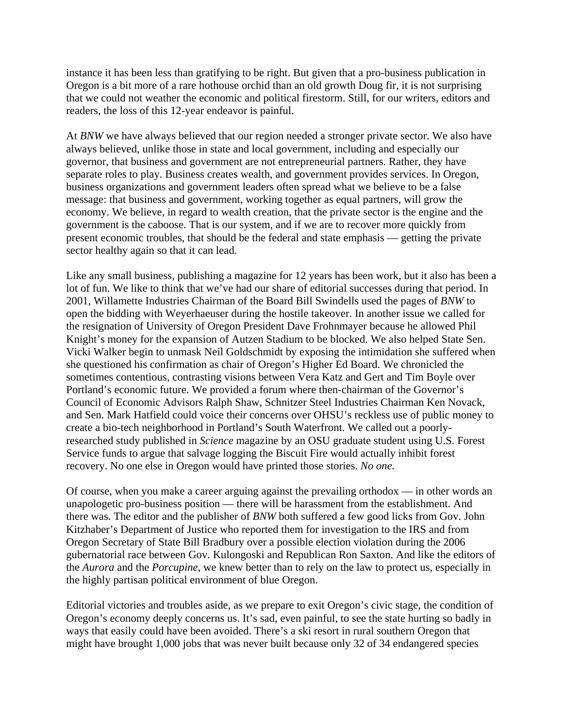instance it has been less than gratifying to be right. But given that a pro-business publication in Oregon is a bit more of a rare hothouse orchid than an old growth Doug fir, it is not surprising that we could not weather the economic and political firestorm. Still, for our writers, editors and readers, the loss of this 12-year endeavor is painful.

At *BNW* we have always believed that our region needed a stronger private sector. We also have always believed, unlike those in state and local government, including and especially our governor, that business and government are not entrepreneurial partners. Rather, they have separate roles to play. Business creates wealth, and government provides services. In Oregon, business organizations and government leaders often spread what we believe to be a false message: that business and government, working together as equal partners, will grow the economy. We believe, in regard to wealth creation, that the private sector is the engine and the government is the caboose. That is our system, and if we are to recover more quickly from present economic troubles, that should be the federal and state emphasis — getting the private sector healthy again so that it can lead.

Like any small business, publishing a magazine for 12 years has been work, but it also has been a lot of fun. We like to think that we've had our share of editorial successes during that period. In 2001, Willamette Industries Chairman of the Board Bill Swindells used the pages of *BNW* to open the bidding with Weyerhaeuser during the hostile takeover. In another issue we called for the resignation of University of Oregon President Dave Frohnmayer because he allowed Phil Knight's money for the expansion of Autzen Stadium to be blocked. We also helped State Sen. Vicki Walker begin to unmask Neil Goldschmidt by exposing the intimidation she suffered when she questioned his confirmation as chair of Oregon's Higher Ed Board. We chronicled the sometimes contentious, contrasting visions between Vera Katz and Gert and Tim Boyle over Portland's economic future. We provided a forum where then-chairman of the Governor's Council of Economic Advisors Ralph Shaw, Schnitzer Steel Industries Chairman Ken Novack, and Sen. Mark Hatfield could voice their concerns over OHSU's reckless use of public money to create a bio-tech neighborhood in Portland's South Waterfront. We called out a poorlyresearched study published in *Science* magazine by an OSU graduate student using U.S. Forest Service funds to argue that salvage logging the Biscuit Fire would actually inhibit forest recovery. No one else in Oregon would have printed those stories. *No one.* 

Of course, when you make a career arguing against the prevailing orthodox — in other words an unapologetic pro-business position — there will be harassment from the establishment. And there was. The editor and the publisher of *BNW* both suffered a few good licks from Gov. John Kitzhaber's Department of Justice who reported them for investigation to the IRS and from Oregon Secretary of State Bill Bradbury over a possible election violation during the 2006 gubernatorial race between Gov. Kulongoski and Republican Ron Saxton. And like the editors of the *Aurora* and the *Porcupine*, we knew better than to rely on the law to protect us, especially in the highly partisan political environment of blue Oregon.

Editorial victories and troubles aside, as we prepare to exit Oregon's civic stage, the condition of Oregon's economy deeply concerns us. It's sad, even painful, to see the state hurting so badly in ways that easily could have been avoided. There's a ski resort in rural southern Oregon that might have brought 1,000 jobs that was never built because only 32 of 34 endangered species